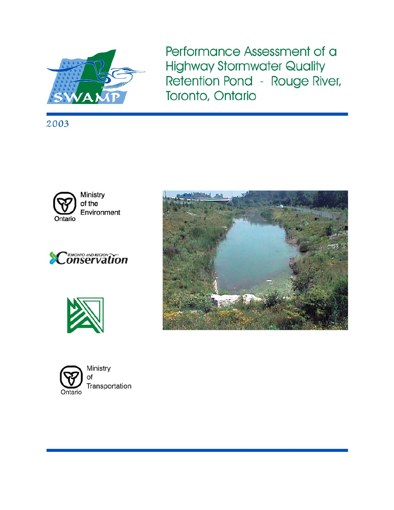

Performance Assessment of a **Highway Stormwater Quality** Retention Pond - Rouge River, Toronto, Ontario

2003











Ministry Transportation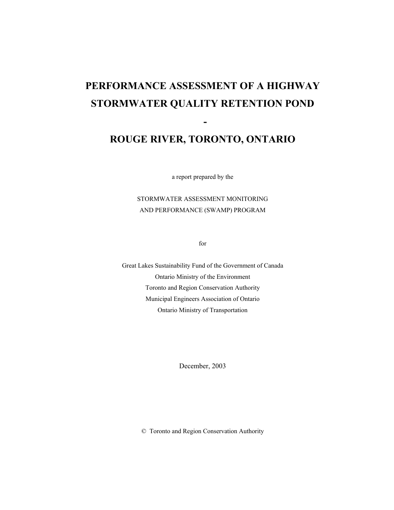# **PERFORMANCE ASSESSMENT OF A HIGHWAY STORMWATER QUALITY RETENTION POND**

### **ROUGE RIVER, TORONTO, ONTARIO**

 **-**

a report prepared by the

STORMWATER ASSESSMENT MONITORING AND PERFORMANCE (SWAMP) PROGRAM

for

Great Lakes Sustainability Fund of the Government of Canada Ontario Ministry of the Environment Toronto and Region Conservation Authority Municipal Engineers Association of Ontario Ontario Ministry of Transportation

December, 2003

© Toronto and Region Conservation Authority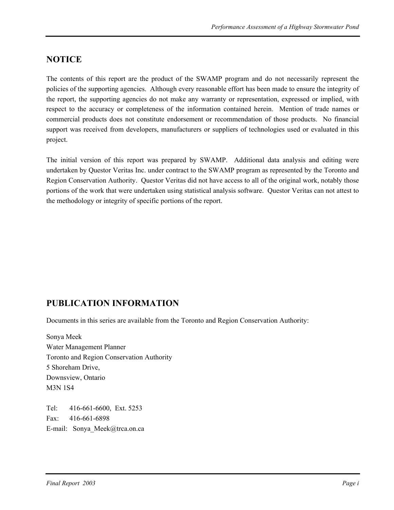### **NOTICE**

The contents of this report are the product of the SWAMP program and do not necessarily represent the policies of the supporting agencies. Although every reasonable effort has been made to ensure the integrity of the report, the supporting agencies do not make any warranty or representation, expressed or implied, with respect to the accuracy or completeness of the information contained herein. Mention of trade names or commercial products does not constitute endorsement or recommendation of those products. No financial support was received from developers, manufacturers or suppliers of technologies used or evaluated in this project.

The initial version of this report was prepared by SWAMP. Additional data analysis and editing were undertaken by Questor Veritas Inc. under contract to the SWAMP program as represented by the Toronto and Region Conservation Authority. Questor Veritas did not have access to all of the original work, notably those portions of the work that were undertaken using statistical analysis software. Questor Veritas can not attest to the methodology or integrity of specific portions of the report.

### **PUBLICATION INFORMATION**

Documents in this series are available from the Toronto and Region Conservation Authority:

Sonya Meek Water Management Planner Toronto and Region Conservation Authority 5 Shoreham Drive, Downsview, Ontario M3N 1S4

Tel: 416-661-6600, Ext. 5253 Fax: 416-661-6898 E-mail: Sonya\_Meek@trca.on.ca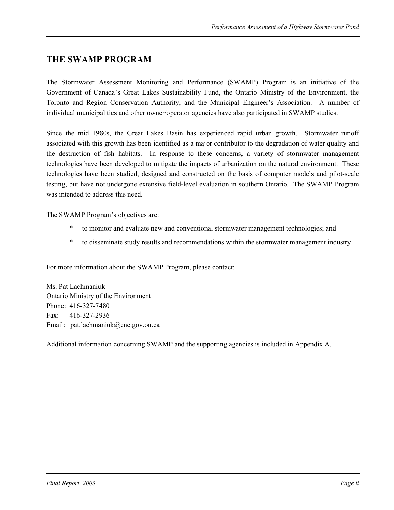### **THE SWAMP PROGRAM**

The Stormwater Assessment Monitoring and Performance (SWAMP) Program is an initiative of the Government of Canada's Great Lakes Sustainability Fund, the Ontario Ministry of the Environment, the Toronto and Region Conservation Authority, and the Municipal Engineer's Association. A number of individual municipalities and other owner/operator agencies have also participated in SWAMP studies.

Since the mid 1980s, the Great Lakes Basin has experienced rapid urban growth. Stormwater runoff associated with this growth has been identified as a major contributor to the degradation of water quality and the destruction of fish habitats. In response to these concerns, a variety of stormwater management technologies have been developed to mitigate the impacts of urbanization on the natural environment. These technologies have been studied, designed and constructed on the basis of computer models and pilot-scale testing, but have not undergone extensive field-level evaluation in southern Ontario. The SWAMP Program was intended to address this need.

The SWAMP Program's objectives are:

- \* to monitor and evaluate new and conventional stormwater management technologies; and
- \* to disseminate study results and recommendations within the stormwater management industry.

For more information about the SWAMP Program, please contact:

Ms. Pat Lachmaniuk Ontario Ministry of the Environment Phone: 416-327-7480 Fax: 416-327-2936 Email: pat.lachmaniuk@ene.gov.on.ca

Additional information concerning SWAMP and the supporting agencies is included in Appendix A.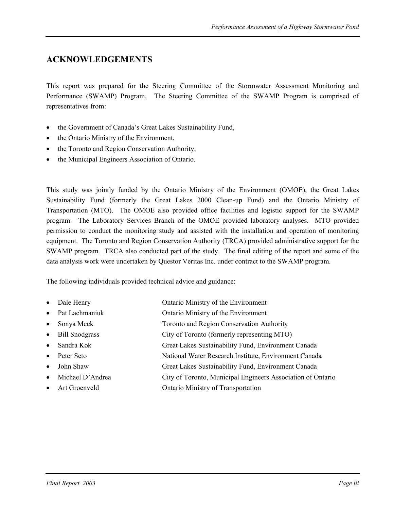### **ACKNOWLEDGEMENTS**

This report was prepared for the Steering Committee of the Stormwater Assessment Monitoring and Performance (SWAMP) Program. The Steering Committee of the SWAMP Program is comprised of representatives from:

- the Government of Canada's Great Lakes Sustainability Fund,
- the Ontario Ministry of the Environment,
- the Toronto and Region Conservation Authority,
- the Municipal Engineers Association of Ontario.

This study was jointly funded by the Ontario Ministry of the Environment (OMOE), the Great Lakes Sustainability Fund (formerly the Great Lakes 2000 Clean-up Fund) and the Ontario Ministry of Transportation (MTO). The OMOE also provided office facilities and logistic support for the SWAMP program. The Laboratory Services Branch of the OMOE provided laboratory analyses. MTO provided permission to conduct the monitoring study and assisted with the installation and operation of monitoring equipment. The Toronto and Region Conservation Authority (TRCA) provided administrative support for the SWAMP program. TRCA also conducted part of the study. The final editing of the report and some of the data analysis work were undertaken by Questor Veritas Inc. under contract to the SWAMP program.

The following individuals provided technical advice and guidance:

- Dale Henry **Ontario Ministry of the Environment**
- Pat Lachmaniuk **Ontario Ministry of the Environment**
- Sonya Meek Toronto and Region Conservation Authority
- Bill Snodgrass City of Toronto (formerly representing MTO)
- Sandra Kok Great Lakes Sustainability Fund, Environment Canada
- Peter Seto National Water Research Institute, Environment Canada
- John Shaw Great Lakes Sustainability Fund, Environment Canada
- Michael D'Andrea City of Toronto, Municipal Engineers Association of Ontario
- Art Groenveld Ontario Ministry of Transportation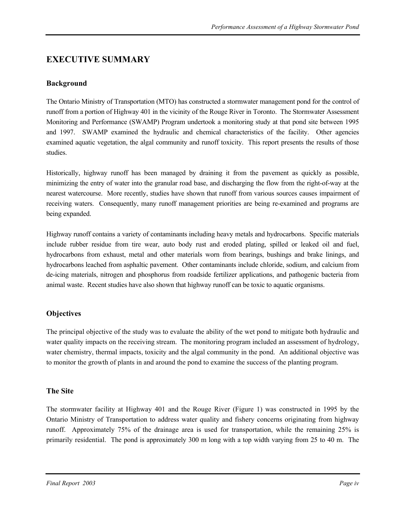### **EXECUTIVE SUMMARY**

#### **Background**

The Ontario Ministry of Transportation (MTO) has constructed a stormwater management pond for the control of runoff from a portion of Highway 401 in the vicinity of the Rouge River in Toronto. The Stormwater Assessment Monitoring and Performance (SWAMP) Program undertook a monitoring study at that pond site between 1995 and 1997. SWAMP examined the hydraulic and chemical characteristics of the facility. Other agencies examined aquatic vegetation, the algal community and runoff toxicity. This report presents the results of those studies.

Historically, highway runoff has been managed by draining it from the pavement as quickly as possible, minimizing the entry of water into the granular road base, and discharging the flow from the right-of-way at the nearest watercourse. More recently, studies have shown that runoff from various sources causes impairment of receiving waters. Consequently, many runoff management priorities are being re-examined and programs are being expanded.

Highway runoff contains a variety of contaminants including heavy metals and hydrocarbons. Specific materials include rubber residue from tire wear, auto body rust and eroded plating, spilled or leaked oil and fuel, hydrocarbons from exhaust, metal and other materials worn from bearings, bushings and brake linings, and hydrocarbons leached from asphaltic pavement. Other contaminants include chloride, sodium, and calcium from de-icing materials, nitrogen and phosphorus from roadside fertilizer applications, and pathogenic bacteria from animal waste. Recent studies have also shown that highway runoff can be toxic to aquatic organisms.

#### **Objectives**

The principal objective of the study was to evaluate the ability of the wet pond to mitigate both hydraulic and water quality impacts on the receiving stream. The monitoring program included an assessment of hydrology, water chemistry, thermal impacts, toxicity and the algal community in the pond. An additional objective was to monitor the growth of plants in and around the pond to examine the success of the planting program.

#### **The Site**

The stormwater facility at Highway 401 and the Rouge River (Figure 1) was constructed in 1995 by the Ontario Ministry of Transportation to address water quality and fishery concerns originating from highway runoff. Approximately 75% of the drainage area is used for transportation, while the remaining 25% is primarily residential. The pond is approximately 300 m long with a top width varying from 25 to 40 m. The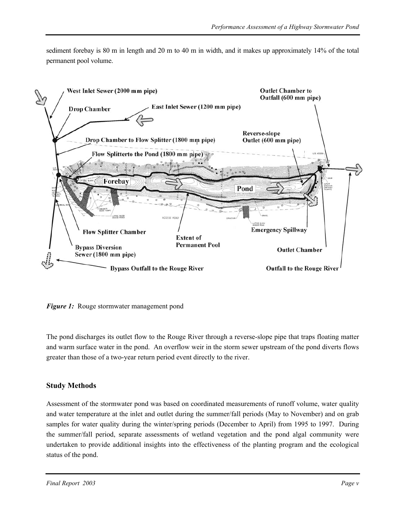sediment forebay is 80 m in length and 20 m to 40 m in width, and it makes up approximately 14% of the total permanent pool volume.



*Figure 1:* Rouge stormwater management pond

The pond discharges its outlet flow to the Rouge River through a reverse-slope pipe that traps floating matter and warm surface water in the pond. An overflow weir in the storm sewer upstream of the pond diverts flows greater than those of a two-year return period event directly to the river.

#### **Study Methods**

Assessment of the stormwater pond was based on coordinated measurements of runoff volume, water quality and water temperature at the inlet and outlet during the summer/fall periods (May to November) and on grab samples for water quality during the winter/spring periods (December to April) from 1995 to 1997. During the summer/fall period, separate assessments of wetland vegetation and the pond algal community were undertaken to provide additional insights into the effectiveness of the planting program and the ecological status of the pond.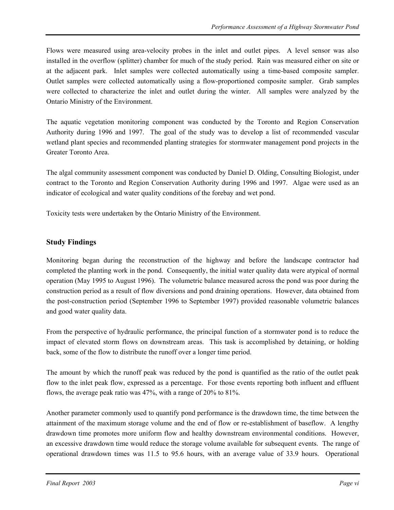Flows were measured using area-velocity probes in the inlet and outlet pipes. A level sensor was also installed in the overflow (splitter) chamber for much of the study period. Rain was measured either on site or at the adjacent park. Inlet samples were collected automatically using a time-based composite sampler. Outlet samples were collected automatically using a flow-proportioned composite sampler. Grab samples were collected to characterize the inlet and outlet during the winter. All samples were analyzed by the Ontario Ministry of the Environment.

The aquatic vegetation monitoring component was conducted by the Toronto and Region Conservation Authority during 1996 and 1997. The goal of the study was to develop a list of recommended vascular wetland plant species and recommended planting strategies for stormwater management pond projects in the Greater Toronto Area.

The algal community assessment component was conducted by Daniel D. Olding, Consulting Biologist, under contract to the Toronto and Region Conservation Authority during 1996 and 1997. Algae were used as an indicator of ecological and water quality conditions of the forebay and wet pond.

Toxicity tests were undertaken by the Ontario Ministry of the Environment.

#### **Study Findings**

Monitoring began during the reconstruction of the highway and before the landscape contractor had completed the planting work in the pond. Consequently, the initial water quality data were atypical of normal operation (May 1995 to August 1996). The volumetric balance measured across the pond was poor during the construction period as a result of flow diversions and pond draining operations. However, data obtained from the post-construction period (September 1996 to September 1997) provided reasonable volumetric balances and good water quality data.

From the perspective of hydraulic performance, the principal function of a stormwater pond is to reduce the impact of elevated storm flows on downstream areas. This task is accomplished by detaining, or holding back, some of the flow to distribute the runoff over a longer time period.

The amount by which the runoff peak was reduced by the pond is quantified as the ratio of the outlet peak flow to the inlet peak flow, expressed as a percentage. For those events reporting both influent and effluent flows, the average peak ratio was 47%, with a range of 20% to 81%.

Another parameter commonly used to quantify pond performance is the drawdown time, the time between the attainment of the maximum storage volume and the end of flow or re-establishment of baseflow. A lengthy drawdown time promotes more uniform flow and healthy downstream environmental conditions. However, an excessive drawdown time would reduce the storage volume available for subsequent events. The range of operational drawdown times was 11.5 to 95.6 hours, with an average value of 33.9 hours. Operational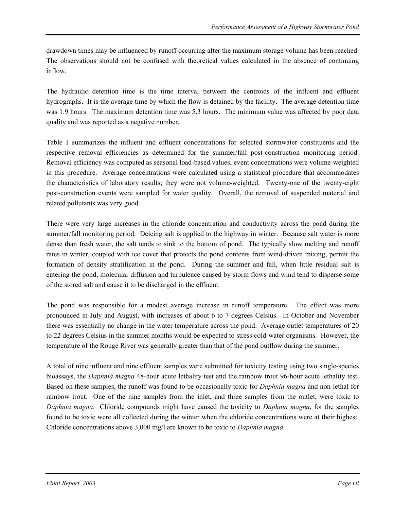drawdown times may be influenced by runoff occurring after the maximum storage volume has been reached. The observations should not be confused with theoretical values calculated in the absence of continuing inflow.

The hydraulic detention time is the time interval between the centroids of the influent and effluent hydrographs. It is the average time by which the flow is detained by the facility. The average detention time was 1.9 hours. The maximum detention time was 5.3 hours. The minimum value was affected by poor data quality and was reported as a negative number.

Table 1 summarizes the influent and effluent concentrations for selected stormwater constituents and the respective removal efficiencies as determined for the summer/fall post-construction monitoring period. Removal efficiency was computed as seasonal load-based values; event concentrations were volume-weighted in this procedure. Average concentrations were calculated using a statistical procedure that accommodates the characteristics of laboratory results; they were not volume-weighted. Twenty-one of the twenty-eight post-construction events were sampled for water quality. Overall, the removal of suspended material and related pollutants was very good.

There were very large increases in the chloride concentration and conductivity across the pond during the summer/fall monitoring period. Deicing salt is applied to the highway in winter. Because salt water is more dense than fresh water, the salt tends to sink to the bottom of pond. The typically slow melting and runoff rates in winter, coupled with ice cover that protects the pond contents from wind-driven mixing, permit the formation of density stratification in the pond. During the summer and fall, when little residual salt is entering the pond, molecular diffusion and turbulence caused by storm flows and wind tend to disperse some of the stored salt and cause it to be discharged in the effluent.

The pond was responsible for a modest average increase in runoff temperature. The effect was more pronounced in July and August, with increases of about 6 to 7 degrees Celsius. In October and November there was essentially no change in the water temperature across the pond. Average outlet temperatures of 20 to 22 degrees Celsius in the summer months would be expected to stress cold-water organisms. However, the temperature of the Rouge River was generally greater than that of the pond outflow during the summer.

A total of nine influent and nine effluent samples were submitted for toxicity testing using two single-species bioassays, the *Daphnia magna* 48-hour acute lethality test and the rainbow trout 96-hour acute lethality test. Based on these samples, the runoff was found to be occasionally toxic for *Daphnia magna* and non-lethal for rainbow trout. One of the nine samples from the inlet, and three samples from the outlet, were toxic to *Daphnia magna*. Chloride compounds might have caused the toxicity to *Daphnia magna*, for the samples found to be toxic were all collected during the winter when the chloride concentrations were at their highest. Chloride concentrations above 3,000 mg/l are known to be toxic to *Daphnia magna*.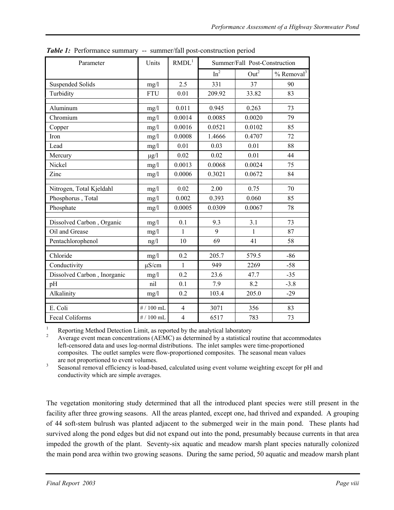| Parameter                   | Units        | RMDL <sup>1</sup> | Summer/Fall Post-Construction |                  |                          |
|-----------------------------|--------------|-------------------|-------------------------------|------------------|--------------------------|
|                             |              |                   | In <sup>2</sup>               | Out <sup>2</sup> | $%$ Removal <sup>3</sup> |
| <b>Suspended Solids</b>     | mg/l         | 2.5               | 331                           | 37               | 90                       |
| Turbidity                   | <b>FTU</b>   | 0.01              | 209.92                        | 33.82            | 83                       |
| Aluminum                    | mg/1         | 0.011             | 0.945                         | 0.263            | 73                       |
| Chromium                    | mg/1         | 0.0014            | 0.0085                        | 0.0020           | 79                       |
| Copper                      | mg/1         | 0.0016            | 0.0521                        | 0.0102           | 85                       |
| Iron                        | mg/1         | 0.0008            | 1.4666                        | 0.4707           | 72                       |
| Lead                        | mg/1         | 0.01              | 0.03                          | 0.01             | 88                       |
| Mercury                     | $\mu$ g/l    | 0.02              | 0.02                          | 0.01             | 44                       |
| Nickel                      | mg/1         | 0.0013            | 0.0068                        | 0.0024           | 75                       |
| Zinc                        | mg/1         | 0.0006            | 0.3021                        | 0.0672           | 84                       |
| Nitrogen, Total Kjeldahl    | mg/1         | 0.02              | 2.00                          | 0.75             | 70                       |
| Phosphorus, Total           | mg/1         | 0.002             | 0.393                         | 0.060            | 85                       |
| Phosphate                   | mg/1         | 0.0005            | 0.0309                        | 0.0067           | 78                       |
| Dissolved Carbon, Organic   | mg/1         | 0.1               | 9.3                           | 3.1              | 73                       |
| Oil and Grease              | mg/1         | 1                 | 9                             | 1                | 87                       |
| Pentachlorophenol           | ng/l         | 10                | 69                            | 41               | 58                       |
| Chloride                    | mg/1         | 0.2               | 205.7                         | 579.5            | $-86$                    |
| Conductivity                | $\mu$ S/cm   | $\mathbf{1}$      | 949                           | 2269             | $-58$                    |
| Dissolved Carbon, Inorganic | mg/1         | 0.2               | 23.6                          | 47.7             | $-35$                    |
| pH                          | nil          | 0.1               | 7.9                           | 8.2              | $-3.8$                   |
| Alkalinity                  | mg/1         | 0.2               | 103.4                         | 205.0            | $-29$                    |
| E. Coli                     | # $/ 100$ mL | $\overline{4}$    | 3071                          | 356              | 83                       |
| <b>Fecal Coliforms</b>      | # $/ 100$ mL | $\overline{4}$    | 6517                          | 783              | 73                       |

*Table 1:* Performance summary -- summer/fall post-construction period

<sup>1</sup> Reporting Method Detection Limit, as reported by the analytical laboratory<br><sup>2</sup> Average event mean concentrations (AEMC) as determined by a statistical routine that accommodates left-censored data and uses log-normal distributions. The inlet samples were time-proportioned composites. The outlet samples were flow-proportioned composites. The seasonal mean values are not proportioned to event volumes.<br><sup>3</sup> Seasonal removal efficiency is load-based, calculated using event volume weighting except for pH and

conductivity which are simple averages.

The vegetation monitoring study determined that all the introduced plant species were still present in the facility after three growing seasons. All the areas planted, except one, had thrived and expanded. A grouping of 44 soft-stem bulrush was planted adjacent to the submerged weir in the main pond. These plants had survived along the pond edges but did not expand out into the pond, presumably because currents in that area impeded the growth of the plant. Seventy-six aquatic and meadow marsh plant species naturally colonized the main pond area within two growing seasons. During the same period, 50 aquatic and meadow marsh plant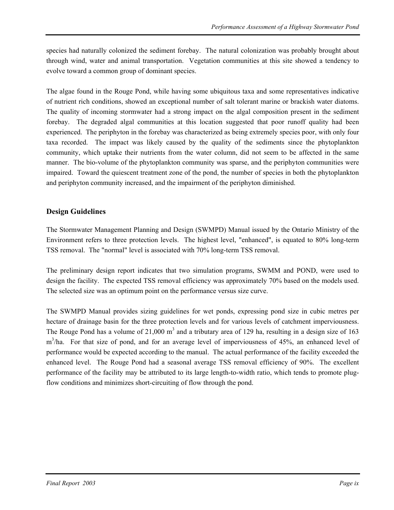species had naturally colonized the sediment forebay. The natural colonization was probably brought about through wind, water and animal transportation. Vegetation communities at this site showed a tendency to evolve toward a common group of dominant species.

The algae found in the Rouge Pond, while having some ubiquitous taxa and some representatives indicative of nutrient rich conditions, showed an exceptional number of salt tolerant marine or brackish water diatoms. The quality of incoming stormwater had a strong impact on the algal composition present in the sediment forebay. The degraded algal communities at this location suggested that poor runoff quality had been experienced. The periphyton in the forebay was characterized as being extremely species poor, with only four taxa recorded. The impact was likely caused by the quality of the sediments since the phytoplankton community, which uptake their nutrients from the water column, did not seem to be affected in the same manner. The bio-volume of the phytoplankton community was sparse, and the periphyton communities were impaired. Toward the quiescent treatment zone of the pond, the number of species in both the phytoplankton and periphyton community increased, and the impairment of the periphyton diminished.

#### **Design Guidelines**

The Stormwater Management Planning and Design (SWMPD) Manual issued by the Ontario Ministry of the Environment refers to three protection levels. The highest level, "enhanced", is equated to 80% long-term TSS removal. The "normal" level is associated with 70% long-term TSS removal.

The preliminary design report indicates that two simulation programs, SWMM and POND, were used to design the facility. The expected TSS removal efficiency was approximately 70% based on the models used. The selected size was an optimum point on the performance versus size curve.

The SWMPD Manual provides sizing guidelines for wet ponds, expressing pond size in cubic metres per hectare of drainage basin for the three protection levels and for various levels of catchment imperviousness. The Rouge Pond has a volume of  $21,000 \text{ m}^3$  and a tributary area of 129 ha, resulting in a design size of 163 m<sup>3</sup>/ha. For that size of pond, and for an average level of imperviousness of 45%, an enhanced level of performance would be expected according to the manual. The actual performance of the facility exceeded the enhanced level. The Rouge Pond had a seasonal average TSS removal efficiency of 90%. The excellent performance of the facility may be attributed to its large length-to-width ratio, which tends to promote plugflow conditions and minimizes short-circuiting of flow through the pond.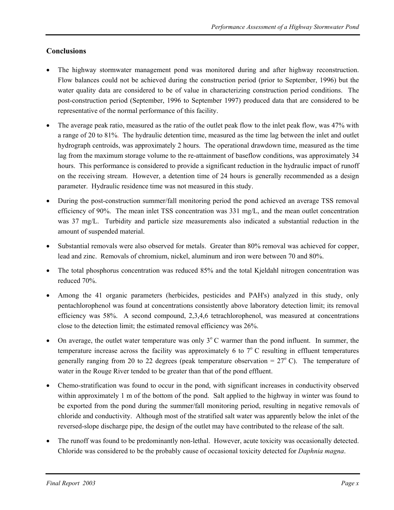#### **Conclusions**

- The highway stormwater management pond was monitored during and after highway reconstruction. Flow balances could not be achieved during the construction period (prior to September, 1996) but the water quality data are considered to be of value in characterizing construction period conditions. The post-construction period (September, 1996 to September 1997) produced data that are considered to be representative of the normal performance of this facility.
- The average peak ratio, measured as the ratio of the outlet peak flow to the inlet peak flow, was 47% with a range of 20 to 81%. The hydraulic detention time, measured as the time lag between the inlet and outlet hydrograph centroids, was approximately 2 hours. The operational drawdown time, measured as the time lag from the maximum storage volume to the re-attainment of baseflow conditions, was approximately 34 hours. This performance is considered to provide a significant reduction in the hydraulic impact of runoff on the receiving stream. However, a detention time of 24 hours is generally recommended as a design parameter. Hydraulic residence time was not measured in this study.
- During the post-construction summer/fall monitoring period the pond achieved an average TSS removal efficiency of 90%. The mean inlet TSS concentration was 331 mg/L, and the mean outlet concentration was 37 mg/L. Turbidity and particle size measurements also indicated a substantial reduction in the amount of suspended material.
- Substantial removals were also observed for metals. Greater than 80% removal was achieved for copper, lead and zinc. Removals of chromium, nickel, aluminum and iron were between 70 and 80%.
- The total phosphorus concentration was reduced 85% and the total Kjeldahl nitrogen concentration was reduced 70%.
- Among the 41 organic parameters (herbicides, pesticides and PAH's) analyzed in this study, only pentachlorophenol was found at concentrations consistently above laboratory detection limit; its removal efficiency was 58%. A second compound, 2,3,4,6 tetrachlorophenol, was measured at concentrations close to the detection limit; the estimated removal efficiency was 26%.
- On average, the outlet water temperature was only  $3^{\circ}$  C warmer than the pond influent. In summer, the temperature increase across the facility was approximately 6 to  $7^{\circ}$  C resulting in effluent temperatures generally ranging from 20 to 22 degrees (peak temperature observation =  $27^{\circ}$  C). The temperature of water in the Rouge River tended to be greater than that of the pond effluent.
- Chemo-stratification was found to occur in the pond, with significant increases in conductivity observed within approximately 1 m of the bottom of the pond. Salt applied to the highway in winter was found to be exported from the pond during the summer/fall monitoring period, resulting in negative removals of chloride and conductivity. Although most of the stratified salt water was apparently below the inlet of the reversed-slope discharge pipe, the design of the outlet may have contributed to the release of the salt.
- The runoff was found to be predominantly non-lethal. However, acute toxicity was occasionally detected. Chloride was considered to be the probably cause of occasional toxicity detected for *Daphnia magna*.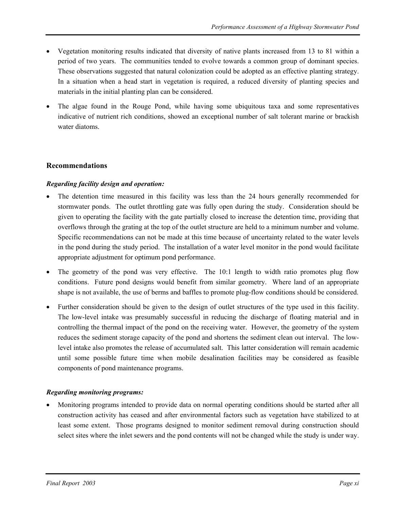- Vegetation monitoring results indicated that diversity of native plants increased from 13 to 81 within a period of two years. The communities tended to evolve towards a common group of dominant species. These observations suggested that natural colonization could be adopted as an effective planting strategy. In a situation when a head start in vegetation is required, a reduced diversity of planting species and materials in the initial planting plan can be considered.
- The algae found in the Rouge Pond, while having some ubiquitous taxa and some representatives indicative of nutrient rich conditions, showed an exceptional number of salt tolerant marine or brackish water diatoms.

#### **Recommendations**

#### *Regarding facility design and operation:*

- The detention time measured in this facility was less than the 24 hours generally recommended for stormwater ponds. The outlet throttling gate was fully open during the study. Consideration should be given to operating the facility with the gate partially closed to increase the detention time, providing that overflows through the grating at the top of the outlet structure are held to a minimum number and volume. Specific recommendations can not be made at this time because of uncertainty related to the water levels in the pond during the study period. The installation of a water level monitor in the pond would facilitate appropriate adjustment for optimum pond performance.
- The geometry of the pond was very effective. The 10:1 length to width ratio promotes plug flow conditions. Future pond designs would benefit from similar geometry. Where land of an appropriate shape is not available, the use of berms and baffles to promote plug-flow conditions should be considered.
- Further consideration should be given to the design of outlet structures of the type used in this facility. The low-level intake was presumably successful in reducing the discharge of floating material and in controlling the thermal impact of the pond on the receiving water. However, the geometry of the system reduces the sediment storage capacity of the pond and shortens the sediment clean out interval. The lowlevel intake also promotes the release of accumulated salt. This latter consideration will remain academic until some possible future time when mobile desalination facilities may be considered as feasible components of pond maintenance programs.

#### *Regarding monitoring programs:*

• Monitoring programs intended to provide data on normal operating conditions should be started after all construction activity has ceased and after environmental factors such as vegetation have stabilized to at least some extent. Those programs designed to monitor sediment removal during construction should select sites where the inlet sewers and the pond contents will not be changed while the study is under way.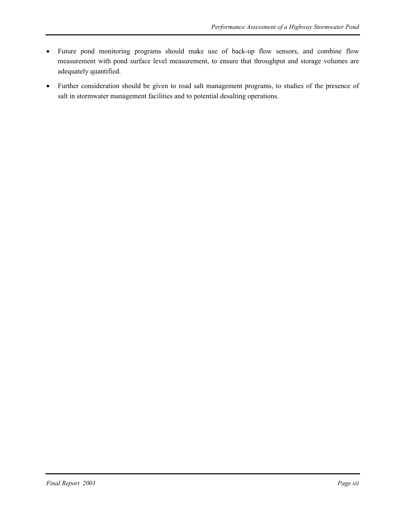- Future pond monitoring programs should make use of back-up flow sensors, and combine flow measurement with pond surface level measurement, to ensure that throughput and storage volumes are adequately quantified.
- Further consideration should be given to road salt management programs, to studies of the presence of salt in stormwater management facilities and to potential desalting operations.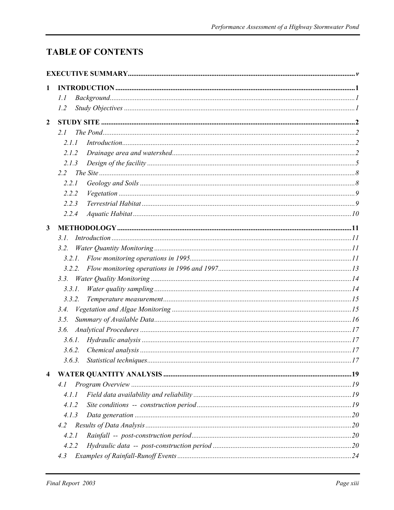# **TABLE OF CONTENTS**

| 1                       |        |  |
|-------------------------|--------|--|
|                         | l.l    |  |
|                         | 1.2    |  |
| $\overline{2}$          |        |  |
|                         | 2.1    |  |
|                         | 2.1.1  |  |
|                         | 2.1.2  |  |
|                         | 2.1.3  |  |
|                         | 2.2    |  |
|                         | 2.2.1  |  |
|                         | 2.2.2  |  |
|                         | 2.2.3  |  |
|                         | 2.2.4  |  |
|                         |        |  |
| $\mathbf{3}$            |        |  |
|                         | 3.1.   |  |
|                         | 3.2.   |  |
|                         | 3.2.1. |  |
|                         | 3.2.2. |  |
|                         |        |  |
|                         | 3.3.1. |  |
|                         | 3.3.2. |  |
|                         | 3.4.   |  |
|                         | 3.5.   |  |
|                         | 3.6.   |  |
|                         | 3.6.1. |  |
|                         |        |  |
|                         |        |  |
| $\overline{\mathbf{4}}$ |        |  |
|                         | 4.1    |  |
|                         | 4.1.1  |  |
|                         | 4.1.2  |  |
|                         | 4.1.3  |  |
|                         | 4.2    |  |
|                         | 4.2.1  |  |
|                         | 4.2.2  |  |
|                         | 4.3    |  |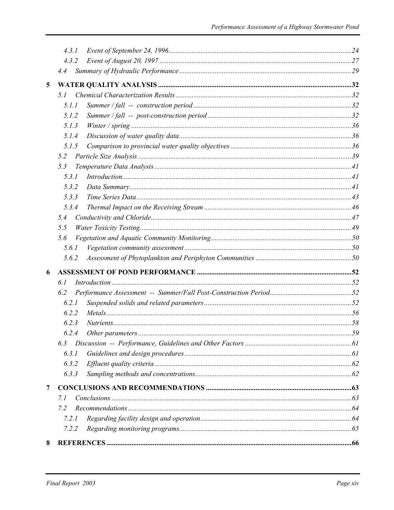|                | 4.3.1 |  |
|----------------|-------|--|
|                | 4.3.2 |  |
|                | 4.4   |  |
| $\overline{5}$ |       |  |
|                | 5. I  |  |
|                | 5.1.1 |  |
|                | 5.1.2 |  |
|                | 5.1.3 |  |
|                | 5.1.4 |  |
|                | 5.1.5 |  |
|                | 5.2   |  |
|                | 5.3   |  |
|                | 5.3.1 |  |
|                | 5.3.2 |  |
|                | 5.3.3 |  |
|                | 5.3.4 |  |
|                | 5.4   |  |
|                | 5.5   |  |
|                | 5.6   |  |
|                | 5.6.1 |  |
|                | 5.6.2 |  |
| 6              |       |  |
|                | 6.1   |  |
|                | 6.2   |  |
|                | 6.2.1 |  |
|                | 6.2.2 |  |
|                | 6.2.3 |  |
|                |       |  |
|                | 6.3   |  |
|                | 6.3.1 |  |
|                | 6.3.2 |  |
|                | 6.3.3 |  |
| 7              |       |  |
|                | 7.1   |  |
|                | 7.2   |  |
|                | 7.2.1 |  |
|                | 7.2.2 |  |
| 8              |       |  |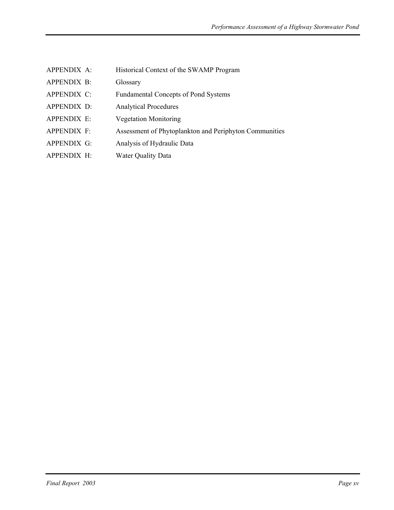| APPENDIX A:        | Historical Context of the SWAMP Program                |
|--------------------|--------------------------------------------------------|
| APPENDIX B:        | Glossary                                               |
| APPENDIX C:        | <b>Fundamental Concepts of Pond Systems</b>            |
| APPENDIX D:        | <b>Analytical Procedures</b>                           |
| APPENDIX E:        | <b>Vegetation Monitoring</b>                           |
| <b>APPENDIX F:</b> | Assessment of Phytoplankton and Periphyton Communities |
| <b>APPENDIX G:</b> | Analysis of Hydraulic Data                             |
| APPENDIX H:        | <b>Water Quality Data</b>                              |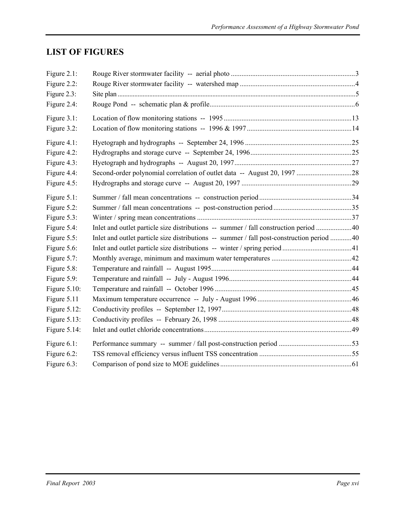# **LIST OF FIGURES**

| Figure 2.1:     |                                                                                           |  |
|-----------------|-------------------------------------------------------------------------------------------|--|
| Figure 2.2:     |                                                                                           |  |
| Figure 2.3:     |                                                                                           |  |
| Figure 2.4:     |                                                                                           |  |
| Figure 3.1:     |                                                                                           |  |
| Figure 3.2:     |                                                                                           |  |
| Figure 4.1:     |                                                                                           |  |
| Figure 4.2:     |                                                                                           |  |
| Figure 4.3:     |                                                                                           |  |
| Figure 4.4:     |                                                                                           |  |
| Figure 4.5:     |                                                                                           |  |
| Figure 5.1:     |                                                                                           |  |
| Figure 5.2:     |                                                                                           |  |
| Figure 5.3:     |                                                                                           |  |
| Figure 5.4:     | Inlet and outlet particle size distributions -- summer / fall construction period 40      |  |
| Figure 5.5:     | Inlet and outlet particle size distributions -- summer / fall post-construction period 40 |  |
| Figure 5.6:     |                                                                                           |  |
| Figure 5.7:     |                                                                                           |  |
| Figure 5.8:     |                                                                                           |  |
| Figure 5.9:     |                                                                                           |  |
| Figure $5.10$ : |                                                                                           |  |
| Figure 5.11     |                                                                                           |  |
| Figure $5.12$ : |                                                                                           |  |
| Figure 5.13:    |                                                                                           |  |
| Figure $5.14$ : |                                                                                           |  |
| Figure 6.1:     |                                                                                           |  |
| Figure 6.2:     |                                                                                           |  |
| Figure 6.3:     |                                                                                           |  |